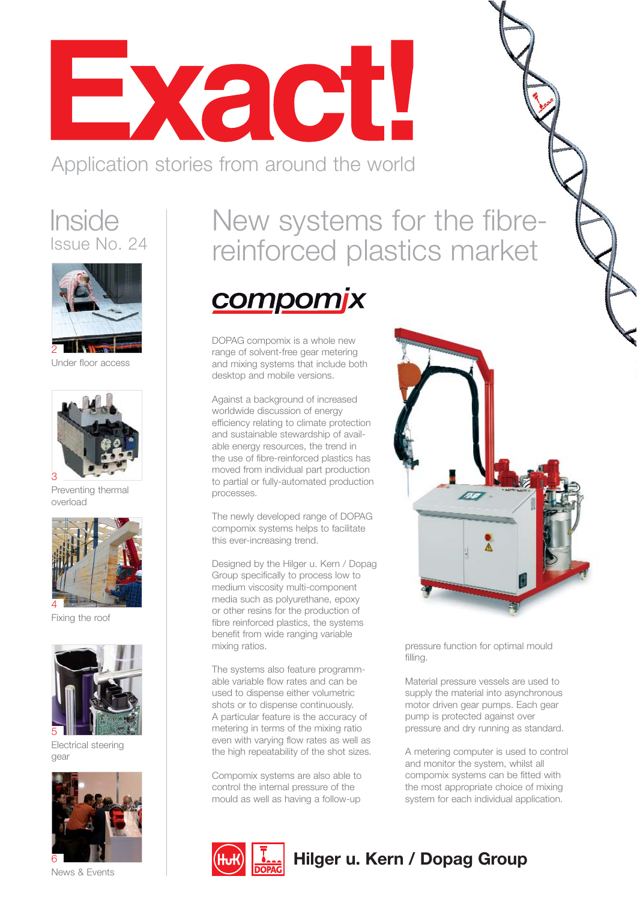Exact!

Application stories from around the world

#### **Inside** Issue No. 24



Under floor access



Preventing thermal overload



Fixing the roof



Electrical steering gear



News & Events

### New systems for the fibrereinforced plastics market



DOPAG compomix is a whole new range of solvent-free gear metering and mixing systems that include both desktop and mobile versions.

Against a background of increased worldwide discussion of energy efficiency relating to climate protection and sustainable stewardship of available energy resources, the trend in the use of fibre-reinforced plastics has moved from individual part production to partial or fully-automated production processes.

The newly developed range of DOPAG compomix systems helps to facilitate this ever-increasing trend.

Designed by the Hilger u. Kern / Dopag Group specifically to process low to medium viscosity multi-component media such as polyurethane, epoxy or other resins for the production of fibre reinforced plastics, the systems benefit from wide ranging variable mixing ratios.

The systems also feature programmable variable flow rates and can be used to dispense either volumetric shots or to dispense continuously. A particular feature is the accuracy of metering in terms of the mixing ratio even with varying flow rates as well as the high repeatability of the shot sizes.

Compomix systems are also able to control the internal pressure of the mould as well as having a follow-up



pressure function for optimal mould filling.

Material pressure vessels are used to supply the material into asynchronous motor driven gear pumps. Each gear pump is protected against over pressure and dry running as standard.

A metering computer is used to control and monitor the system, whilst all compomix systems can be fitted with the most appropriate choice of mixing system for each individual application.



#### **Hilger u. Kern / Dopag Group**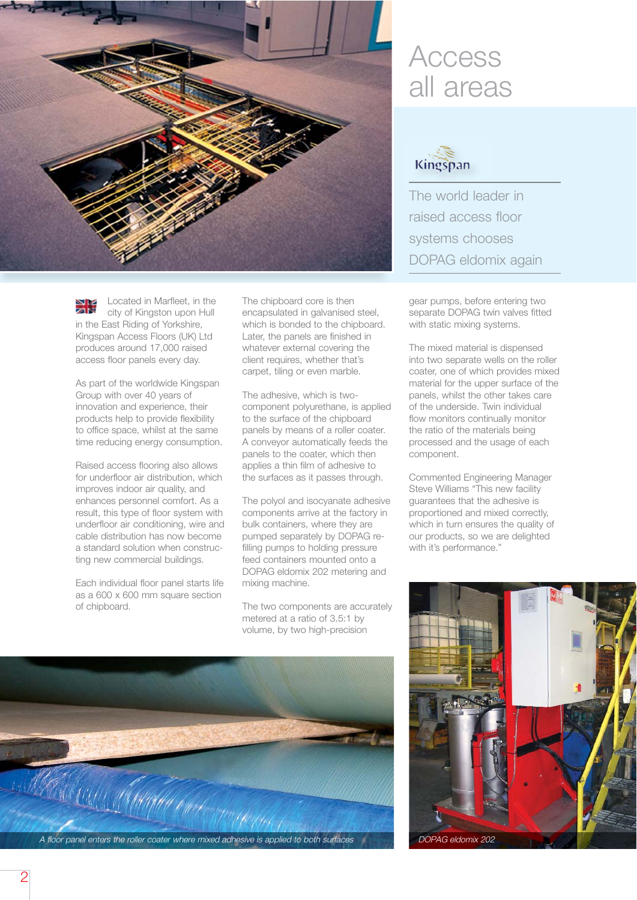

Located in Marfleet, in the city of Kingston upon Hull in the East Riding of Yorkshire, Kingspan Access Floors (UK) Ltd produces around 17,000 raised access floor panels every day.

As part of the worldwide Kingspan Group with over 40 years of innovation and experience, their products help to provide flexibility to office space, whilst at the same time reducing energy consumption.

Raised access flooring also allows for underfloor air distribution, which improves indoor air quality, and enhances personnel comfort. As a result, this type of floor system with underfloor air conditioning, wire and cable distribution has now become a standard solution when constructing new commercial buildings.

Each individual floor panel starts life as a 600 x 600 mm square section of chipboard.

The chipboard core is then encapsulated in galvanised steel, which is bonded to the chipboard. Later, the panels are finished in whatever external covering the client requires, whether that's carpet, tiling or even marble.

The adhesive, which is twocomponent polyurethane, is applied to the surface of the chipboard panels by means of a roller coater. A conveyor automatically feeds the panels to the coater, which then applies a thin film of adhesive to the surfaces as it passes through.

The polyol and isocyanate adhesive components arrive at the factory in bulk containers, where they are pumped separately by DOPAG refilling pumps to holding pressure feed containers mounted onto a DOPAG eldomix 202 metering and mixing machine.

The two components are accurately metered at a ratio of 3.5:1 by volume, by two high-precision



### Access all areas



The world leader in raised access floor systems chooses DOPAG eldomix again

gear pumps, before entering two separate DOPAG twin valves fitted with static mixing systems.

The mixed material is dispensed into two separate wells on the roller coater, one of which provides mixed material for the upper surface of the panels, whilst the other takes care of the underside. Twin individual flow monitors continually monitor the ratio of the materials being processed and the usage of each component.

Commented Engineering Manager Steve Williams "This new facility guarantees that the adhesive is proportioned and mixed correctly, which in turn ensures the quality of our products, so we are delighted with it's performance."

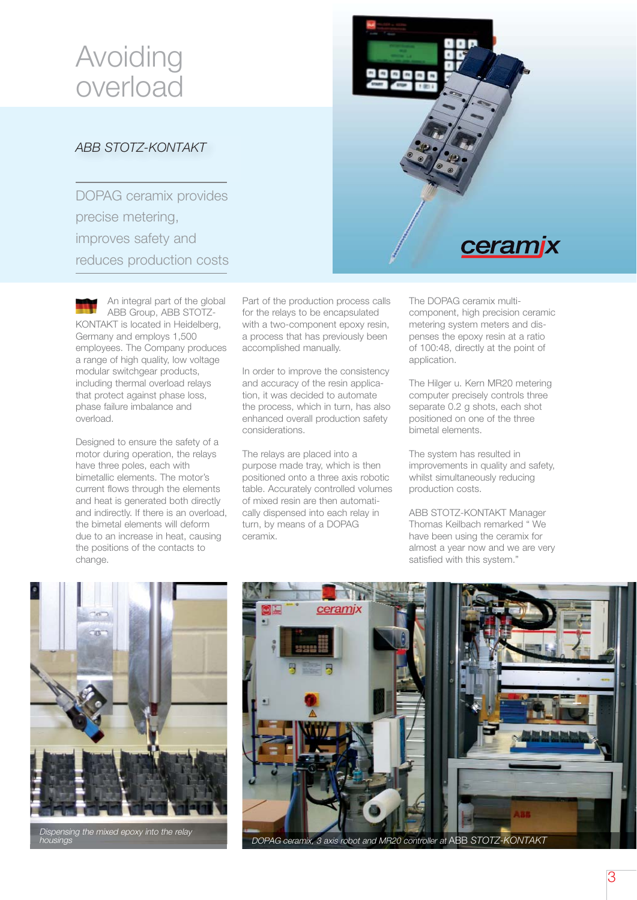## Avoiding overload

#### *ABB STOTZ-KONTAKT*

DOPAG ceramix provides precise metering, improves safety and reduces production costs



Designed to ensure the safety of a motor during operation, the relays have three poles, each with bimetallic elements. The motor's current flows through the elements and heat is generated both directly and indirectly. If there is an overload, the bimetal elements will deform due to an increase in heat, causing the positions of the contacts to change.

Part of the production process calls for the relays to be encapsulated with a two-component epoxy resin. a process that has previously been accomplished manually.

In order to improve the consistency and accuracy of the resin application, it was decided to automate the process, which in turn, has also enhanced overall production safety considerations.

The relays are placed into a purpose made tray, which is then positioned onto a three axis robotic table. Accurately controlled volumes of mixed resin are then automatically dispensed into each relay in turn, by means of a DOPAG ceramix.



The DOPAG ceramix multicomponent, high precision ceramic metering system meters and dispenses the epoxy resin at a ratio of 100:48, directly at the point of application.

The Hilger u. Kern MR20 metering computer precisely controls three separate 0.2 g shots, each shot positioned on one of the three bimetal elements.

The system has resulted in improvements in quality and safety, whilst simultaneously reducing production costs.

ABB STOTZ-KONTAKT Manager Thomas Keilbach remarked " We have been using the ceramix for almost a year now and we are very satisfied with this system."



pensing the mixed epoxy into the relay housings



DOPAG ceramix, 3 axis robot and MR20 controller at ABB *STOTZ-KONTAKT*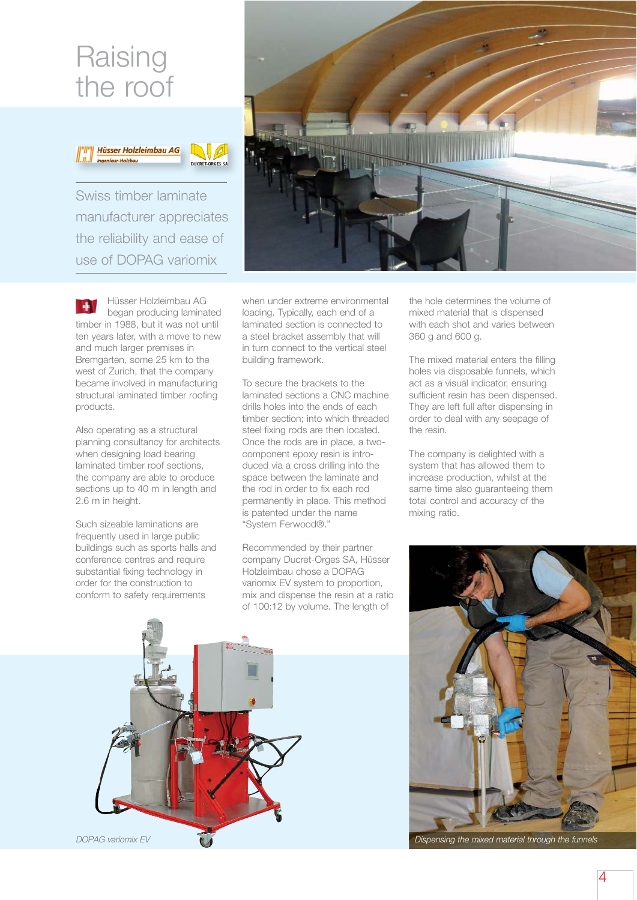### **Raising** the roof





Swiss timber laminate manufacturer appreciates the reliability and ease of use of DOPAG variomix



Also operating as a structural planning consultancy for architects when designing load bearing laminated timber roof sections, the company are able to produce sections up to 40 m in length and 2.6 m in height.

Such sizeable laminations are frequently used in large public buildings such as sports halls and conference centres and require substantial fixing technology in order for the construction to conform to safety requirements



when under extreme environmental loading. Typically, each end of a laminated section is connected to a steel bracket assembly that will in turn connect to the vertical steel building framework.

To secure the brackets to the laminated sections a CNC machine drills holes into the ends of each timber section; into which threaded steel fixing rods are then located. Once the rods are in place, a twocomponent epoxy resin is introduced via a cross drilling into the space between the laminate and the rod in order to fix each rod permanently in place. This method is patented under the name "System Ferwood®."

Recommended by their partner company Ducret-Orges SA, Hüsser Holzleimbau chose a DOPAG variomix EV system to proportion, mix and dispense the resin at a ratio of 100:12 by volume. The length of

the hole determines the volume of mixed material that is dispensed with each shot and varies between 360 g and 600 g.

The mixed material enters the filling holes via disposable funnels, which act as a visual indicator, ensuring sufficient resin has been dispensed. They are left full after dispensing in order to deal with any seepage of the resin.

The company is delighted with a system that has allowed them to increase production, whilst at the same time also guaranteeing them total control and accuracy of the mixing ratio.



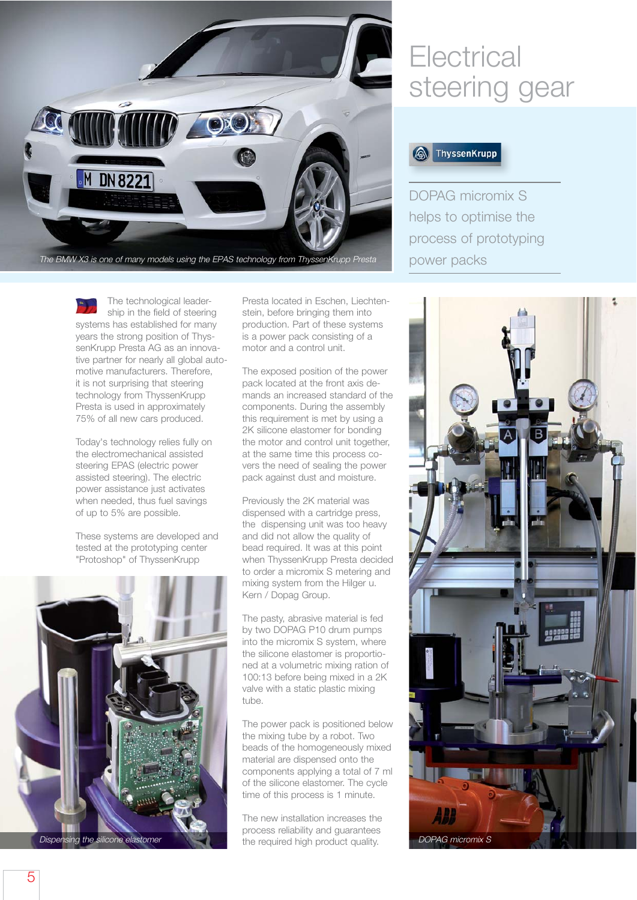

The BMW X3 is one of many models using the EPAS technology from ThyssenKrupp Presta

The technological leadership in the field of steering systems has established for many years the strong position of Thyssen Krupp Presta AG as an innovative partner for nearly all global automotive manufacturers. Therefore, it is not surprising that steering technology from ThyssenKrupp Presta is used in approximately 75% of all new cars produced.

Today's technology relies fully on the electromechanical assisted steering EPAS (electric power assisted steering). The electric power assistance just activates when needed, thus fuel savings of up to 5% are possible.

These systems are developed and tested at the prototyping center "Protoshop" of ThyssenKrupp



Presta located in Eschen, Liechtenstein, before bringing them into production. Part of these systems is a power pack consisting of a motor and a control unit.

The exposed position of the power pack located at the front axis demands an increased standard of the components. During the assembly this requirement is met by using a 2K silicone elastomer for bonding the motor and control unit together, at the same time this process covers the need of sealing the power pack against dust and moisture.

Previously the 2K material was dispensed with a cartridge press, the dispensing unit was too heavy and did not allow the quality of bead required. It was at this point when ThyssenKrupp Presta decided to order a micromix S metering and mixing system from the Hilger u. Kern / Dopag Group.

The pasty, abrasive material is fed by two DOPAG P10 drum pumps into the micromix S system, where the silicone elastomer is proportioned at a volumetric mixing ration of 100:13 before being mixed in a 2K valve with a static plastic mixing tube.

The power pack is positioned below the mixing tube by a robot. Two beads of the homogeneously mixed material are dispensed onto the components applying a total of 7 ml of the silicone elastomer. The cycle time of this process is 1 minute.

The new installation increases the process reliability and guarantees

## **Electrical** steering gear



DOPAG micromix S helps to optimise the process of prototyping power packs